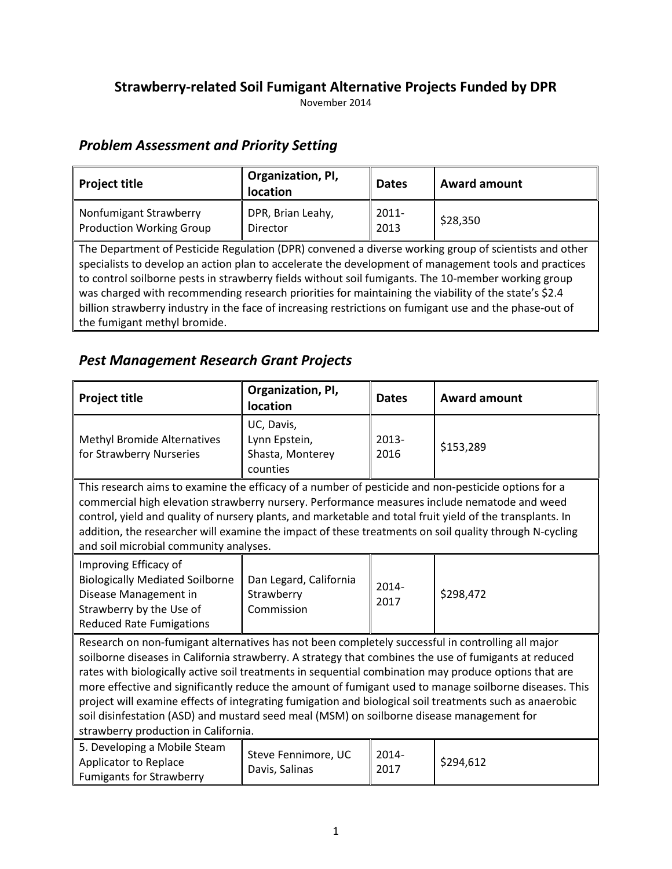## **Strawberry-related Soil Fumigant Alternative Projects Funded by DPR**

November 2014

### *Problem Assessment and Priority Setting*

| <b>Project title</b>                                                                                                                                                                                                                                                                                                                                                                                                                                                                                                                                                     | Organization, PI,<br>location        | <b>Dates</b>     | <b>Award amount</b> |  |  |
|--------------------------------------------------------------------------------------------------------------------------------------------------------------------------------------------------------------------------------------------------------------------------------------------------------------------------------------------------------------------------------------------------------------------------------------------------------------------------------------------------------------------------------------------------------------------------|--------------------------------------|------------------|---------------------|--|--|
| Nonfumigant Strawberry<br><b>Production Working Group</b>                                                                                                                                                                                                                                                                                                                                                                                                                                                                                                                | DPR, Brian Leahy,<br><b>Director</b> | $2011 -$<br>2013 | \$28,350            |  |  |
| The Department of Pesticide Regulation (DPR) convened a diverse working group of scientists and other<br>specialists to develop an action plan to accelerate the development of management tools and practices<br>to control soilborne pests in strawberry fields without soil fumigants. The 10-member working group<br>was charged with recommending research priorities for maintaining the viability of the state's \$2.4<br>billion strawberry industry in the face of increasing restrictions on fumigant use and the phase-out of<br>the fumigant methyl bromide. |                                      |                  |                     |  |  |

### *Pest Management Research Grant Projects*

| <b>Project title</b>                                                                                                                                                                                                                                                                                                                                                                                                                                                                                                                                                                                                                                                          | Organization, PI,<br>location                               | <b>Dates</b>     | <b>Award amount</b> |  |
|-------------------------------------------------------------------------------------------------------------------------------------------------------------------------------------------------------------------------------------------------------------------------------------------------------------------------------------------------------------------------------------------------------------------------------------------------------------------------------------------------------------------------------------------------------------------------------------------------------------------------------------------------------------------------------|-------------------------------------------------------------|------------------|---------------------|--|
| <b>Methyl Bromide Alternatives</b><br>for Strawberry Nurseries                                                                                                                                                                                                                                                                                                                                                                                                                                                                                                                                                                                                                | UC, Davis,<br>Lynn Epstein,<br>Shasta, Monterey<br>counties | $2013 -$<br>2016 | \$153,289           |  |
| This research aims to examine the efficacy of a number of pesticide and non-pesticide options for a<br>commercial high elevation strawberry nursery. Performance measures include nematode and weed<br>control, yield and quality of nursery plants, and marketable and total fruit yield of the transplants. In<br>addition, the researcher will examine the impact of these treatments on soil quality through N-cycling<br>and soil microbial community analyses.                                                                                                                                                                                                          |                                                             |                  |                     |  |
| Improving Efficacy of<br><b>Biologically Mediated Soilborne</b><br>Disease Management in<br>Strawberry by the Use of<br><b>Reduced Rate Fumigations</b>                                                                                                                                                                                                                                                                                                                                                                                                                                                                                                                       | Dan Legard, California<br>Strawberry<br>Commission          | $2014 -$<br>2017 | \$298,472           |  |
| Research on non-fumigant alternatives has not been completely successful in controlling all major<br>soilborne diseases in California strawberry. A strategy that combines the use of fumigants at reduced<br>rates with biologically active soil treatments in sequential combination may produce options that are<br>more effective and significantly reduce the amount of fumigant used to manage soilborne diseases. This<br>project will examine effects of integrating fumigation and biological soil treatments such as anaerobic<br>soil disinfestation (ASD) and mustard seed meal (MSM) on soilborne disease management for<br>strawberry production in California. |                                                             |                  |                     |  |
| 5. Developing a Mobile Steam<br>Applicator to Replace<br><b>Fumigants for Strawberry</b>                                                                                                                                                                                                                                                                                                                                                                                                                                                                                                                                                                                      | Steve Fennimore, UC<br>Davis, Salinas                       | $2014 -$<br>2017 | \$294,612           |  |